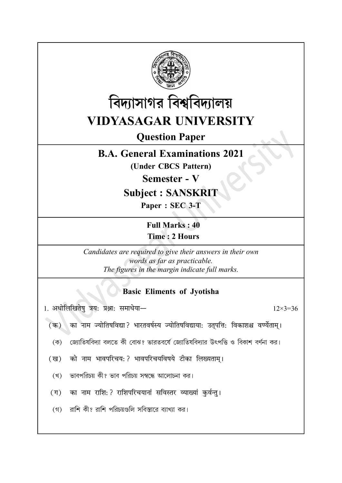



**Question Paper** 

## **B.A. General Examinations 2021**

(Under CBCS Pattern)

**Semester - V** 

**Subject: SANSKRIT** 

Paper: SEC 3-T

**Full Marks: 40 Time: 2 Hours** 

Candidates are required to give their answers in their own words as far as practicable. The figures in the margin indicate full marks.

## **Basic Eliments of Jyotisha**

1. अधोलिखितेषु त्रय: प्रश्ना: समाधेया-

 $12\times3=36$ 

का नाम ज्योतिषविद्या ? भारतवर्षस्य ज्योतिषविद्याया: उतुपत्ति: विकाशश्च वर्ण्येताम् ।  $(\overline{a})$ 

জোতিষবিদ্যা বলতে কী বোঝ? ভারতবর্ষে জোতিষবিদ্যার উৎপত্তি ও বিকাশ বর্ণনা কর।  $(\overline{\Phi})$ 

(ख) को नाम भावपरिचय: ? भावपरिचयविषये टीका लिख्यताम्।

(খ) ভাবপরিচয় কী? ভাব পরিচয় সম্বন্ধে আলোচনা কর।

(ग) का नाम राशि: ? राशिपरिचयानां सविस्तर व्याख्यां कुर्वन्तु।

(গ) রাশি কী? রাশি পরিচয়গুলি সবিস্তারে ব্যাখ্যা কর।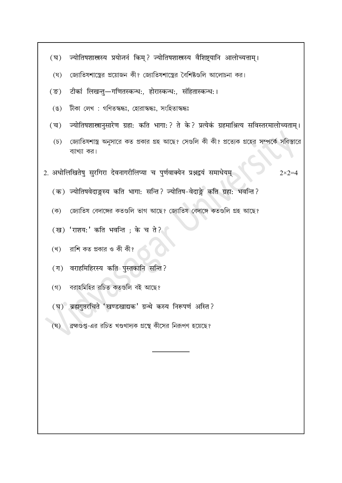|  |  | ज्यातिषशास्त्रस्य प्रयोजनं किम ? ज्यातिषशास्त्रस्य वीशष्टयानि आलोच्यत्ताम्। |  |
|--|--|-----------------------------------------------------------------------------|--|
|  |  |                                                                             |  |
|  |  |                                                                             |  |

- জোতিষশাস্ত্রের প্রয়োজন কী? জ্যোতিষশাস্ত্রের বৈশিষ্টগুলি আলোচনা কর।  $(\nabla)$
- टीकां लिखन्त्-गणितस्कन्धः, होरास्कन्धः, संहितास्कन्धः।  $($ ङ)
- টীকা লেখ: গণিতস্কন্ধঃ, হোরাস্কন্ধঃ, সংহিতাস্কন্ধঃ  $(\mathscr{E})$
- ज्योतिषशास्त्रानुसारेण ग्रहा: कति भागा: ? ते के ? प्रत्येकं ग्रहमाश्रित्य सविस्तरमालोच्यताम् ।  $(\overline{\mathbf{v}})$ 
	- জ্যোতিষশাস্ত্র অনুসারে কত প্রকার গ্রহ আছে? সেগুলি কী কী? প্রত্যেক গ্রহের সম্পর্কে সবিস্তারে  $(\mathcal{D})$ ব্যাখ্যা কর।
- 2. अधोलिखितेषु सुरगिरा देवनागरीलिप्या च पुर्णवाक्येन प्रश्नद्वयं समाधेयम्

 $2 \times 2 = 4$ 

- (क) ज्योतिषवेदाङ्गस्य कति भागा: सन्ति? ज्योतिष-वेदाङ्गे कति ग्रहा: भवन्ति?
- জোতিষ বেদাঙ্গের কতগুলি ভাগ আছে? জোতিষ বেদাঙ্গে কতগুলি গ্রহ আছে? (ক)
- (ख) 'राशय:' कति भवन्ति ; के च ते?
- রাশি কত প্রকার ও কী কী? (খ)
- (ग) वराहमिहिरस्य कति पुस्तकानि सन्ति ?
- (গ) বরাহমিহির রচিত কতগুলি বই আছে?
- (घ) ब्रह्मगुप्तरचिते 'खण्डखाद्यक' ग्रन्थे कस्य निरूपणं अस्ति ?
- ্রহ্মগুপ্ত-এর রচিত খণ্ডখাদ্যক গ্রন্থে কীসের নিরূপণ হয়েছে? (ঘূ)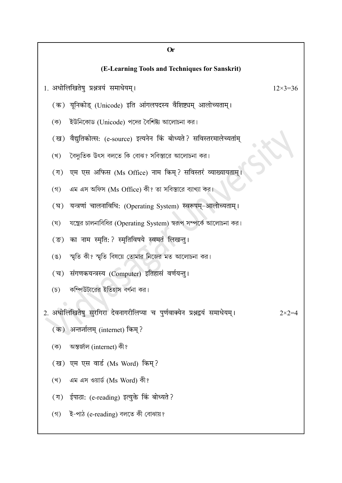| <b>Or</b>                                      |                                                                            |                    |  |  |  |  |  |  |
|------------------------------------------------|----------------------------------------------------------------------------|--------------------|--|--|--|--|--|--|
| (E-Learning Tools and Techniques for Sanskrit) |                                                                            |                    |  |  |  |  |  |  |
|                                                | 1. अधोलिखितेषु प्रश्नत्रयं समाधेयम्।                                       | $12 \times 3 = 36$ |  |  |  |  |  |  |
|                                                | (क) यूनिकोड् (Unicode) इति आंगलपदस्य वैशिष्ट्यम् आलोच्यताम्।               |                    |  |  |  |  |  |  |
| (ক)                                            | ইউনিকোড (Unicode) পদের বৈশিষ্ট্য আলোচনা কর।                                |                    |  |  |  |  |  |  |
|                                                | (ख) वैद्युतिकोत्स: (e-source) इत्यनेन किं बोध्यते? सविस्तरमालेच्यतांम्     |                    |  |  |  |  |  |  |
| (খ)                                            | বৈদ্যুতিক উৎস বলতে কি বোঝ? সবিস্তারে আলোচনা কর।                            |                    |  |  |  |  |  |  |
| $(\Pi)$                                        | एम एस अफिस (Ms Office) नाम किम्? सविस्तरं व्याख्यायताम् ।                  |                    |  |  |  |  |  |  |
| $($ গ)                                         | এম এস অফিস (Ms Office) কী? তা সবিস্তারে ব্যাখ্যা কর।                       |                    |  |  |  |  |  |  |
| (घ)                                            | यन्त्रणां चालनाविधिः (Operating System) स्वरूपम्-आलोच्यताम्।               |                    |  |  |  |  |  |  |
| (ঘ্                                            | যন্ত্রের চালনাবিধির (Operating System) স্বরূপ সম্পর্কে আলোচনা কর।          |                    |  |  |  |  |  |  |
| $(\overline{s})$                               | का नाम स्मृति: ? स्मृतिविषये स्वमतं लिखन्तु ।                              |                    |  |  |  |  |  |  |
| $(\mathscr{G})$                                | স্মৃতি কী? স্মৃতি বিষয়ে তোমার নিজের মত আলোচনা কর।                         |                    |  |  |  |  |  |  |
| $(\overline{\mathbf{v}})$                      | संगणकयन्त्रस्य (Computer) इतिहासं वर्णयन्तु।                               |                    |  |  |  |  |  |  |
| $(\mathfrak{D})$                               | কম্পিউটারের ইতিহাস বর্ণনা কর।                                              |                    |  |  |  |  |  |  |
|                                                | 2. अधोलिखितेषु सुरगिरा देवनागरीलिप्या च पुर्णवाक्येन प्रश्नद्वयं समाधेयम्। | $2 \times 2 = 4$   |  |  |  |  |  |  |
|                                                | (क) अन्तर्जालम् (internet) किम्?                                           |                    |  |  |  |  |  |  |
| (ক)                                            | অন্তৰ্জাল (internet) কী?                                                   |                    |  |  |  |  |  |  |
|                                                | (ख) एम एस वार्ड (Ms Word) किम्?                                            |                    |  |  |  |  |  |  |
| (খ)                                            | এম এস ওয়ার্ড (Ms Word) কী?                                                |                    |  |  |  |  |  |  |
|                                                | (ग) ईपाठा: (e-reading) इत्युक्ते किं बोध्यते ?                             |                    |  |  |  |  |  |  |
|                                                | (গ) ই-পাঠ (e-reading) বলতে কী বোঝায়?                                      |                    |  |  |  |  |  |  |